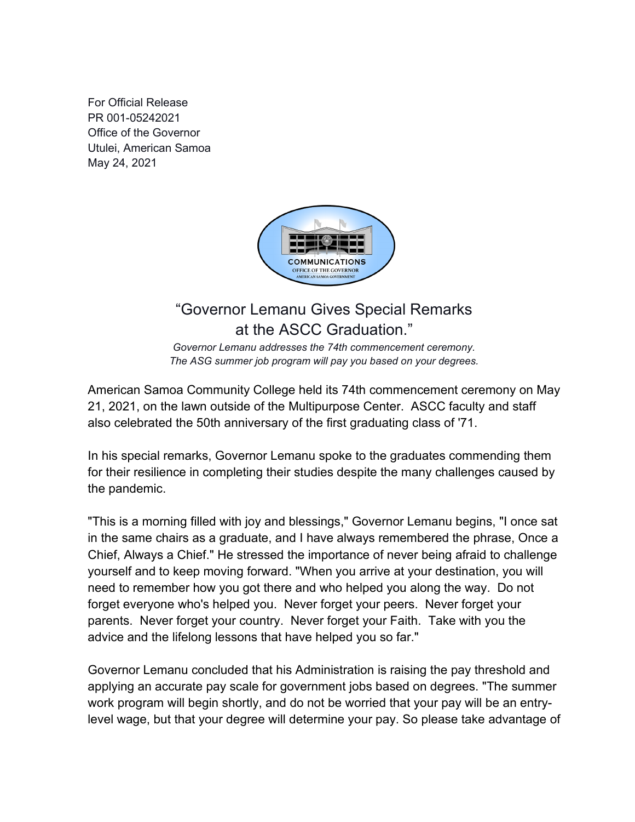For Official Release PR 001-05242021 Office of the Governor Utulei, American Samoa May 24, 2021



## "Governor Lemanu Gives Special Remarks at the ASCC Graduation."

*Governor Lemanu addresses the 74th commencement ceremony. The ASG summer job program will pay you based on your degrees.*

American Samoa Community College held its 74th commencement ceremony on May 21, 2021, on the lawn outside of the Multipurpose Center. ASCC faculty and staff also celebrated the 50th anniversary of the first graduating class of '71.

In his special remarks, Governor Lemanu spoke to the graduates commending them for their resilience in completing their studies despite the many challenges caused by the pandemic.

"This is a morning filled with joy and blessings," Governor Lemanu begins, "I once sat in the same chairs as a graduate, and I have always remembered the phrase, Once a Chief, Always a Chief." He stressed the importance of never being afraid to challenge yourself and to keep moving forward. "When you arrive at your destination, you will need to remember how you got there and who helped you along the way. Do not forget everyone who's helped you. Never forget your peers. Never forget your parents. Never forget your country. Never forget your Faith. Take with you the advice and the lifelong lessons that have helped you so far."

Governor Lemanu concluded that his Administration is raising the pay threshold and applying an accurate pay scale for government jobs based on degrees. "The summer work program will begin shortly, and do not be worried that your pay will be an entrylevel wage, but that your degree will determine your pay. So please take advantage of